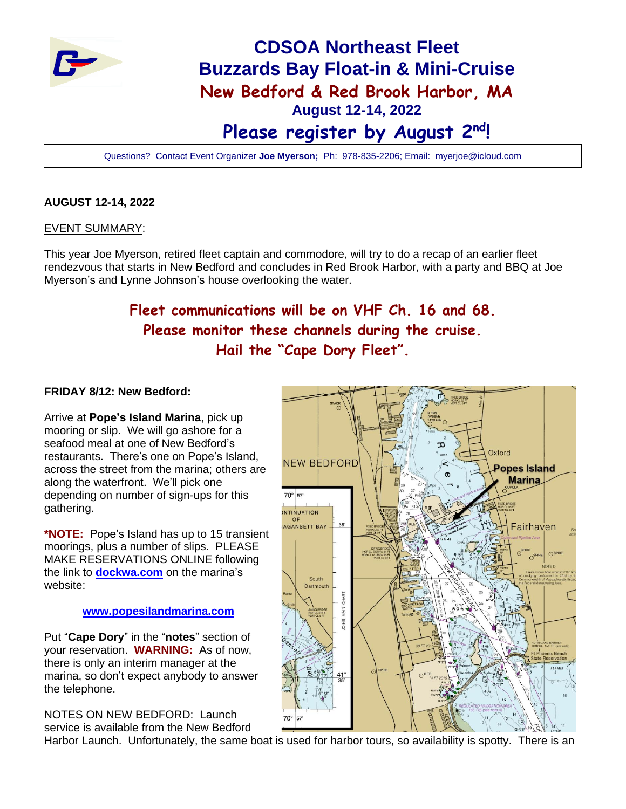

# **CDSOA Northeast Fleet Buzzards Bay Float-in & Mini-Cruise New Bedford & Red Brook Harbor, MA August 12-14, 2022 Please register by August 2nd!**

Questions? Contact Event Organizer **Joe Myerson;** Ph: 978-835-2206; Email: myerjoe@icloud.com

#### **AUGUST 12-14, 2022**

#### EVENT SUMMARY:

This year Joe Myerson, retired fleet captain and commodore, will try to do a recap of an earlier fleet rendezvous that starts in New Bedford and concludes in Red Brook Harbor, with a party and BBQ at Joe Myerson's and Lynne Johnson's house overlooking the water.

## **Fleet communications will be on VHF Ch. 16 and 68. Please monitor these channels during the cruise. Hail the "Cape Dory Fleet".**

#### **FRIDAY 8/12: New Bedford:**

Arrive at **Pope's Island Marina**, pick up mooring or slip. We will go ashore for a seafood meal at one of New Bedford's restaurants. There's one on Pope's Island, across the street from the marina; others are along the waterfront. We'll pick one depending on number of sign-ups for this gathering.

**\*NOTE:** Pope's Island has up to 15 transient moorings, plus a number of slips. PLEASE MAKE RESERVATIONS ONLINE following the link to **[dockwa.com](http://dockwa.com/)** on the marina's website:

#### **[www.popesilandmarina.com](http://www.popesilandmarina.com/)**

Put "**Cape Dory**" in the "**notes**" section of your reservation. **WARNING:** As of now, there is only an interim manager at the marina, so don't expect anybody to answer the telephone.

NOTES ON NEW BEDFORD: Launch service is available from the New Bedford



Harbor Launch. Unfortunately, the same boat is used for harbor tours, so availability is spotty. There is an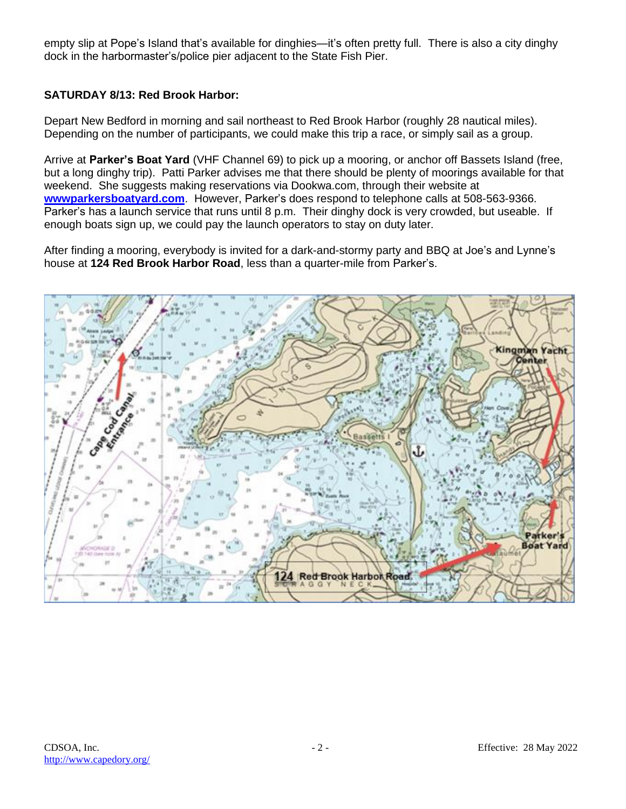empty slip at Pope's Island that's available for dinghies—it's often pretty full. There is also a city dinghy dock in the harbormaster's/police pier adjacent to the State Fish Pier.

#### **SATURDAY 8/13: Red Brook Harbor:**

Depart New Bedford in morning and sail northeast to Red Brook Harbor (roughly 28 nautical miles). Depending on the number of participants, we could make this trip a race, or simply sail as a group.

Arrive at **Parker's Boat Yard** (VHF Channel 69) to pick up a mooring, or anchor off Bassets Island (free, but a long dinghy trip). Patti Parker advises me that there should be plenty of moorings available for that weekend. She suggests making reservations via Dookwa.com, through their website at **[wwwparkersboatyard.com](http://wwwparkersboatyard.com/)**. However, Parker's does respond to telephone calls at 508-563-9366. Parker's has a launch service that runs until 8 p.m. Their dinghy dock is very crowded, but useable. If enough boats sign up, we could pay the launch operators to stay on duty later.

After finding a mooring, everybody is invited for a dark-and-stormy party and BBQ at Joe's and Lynne's house at **124 Red Brook Harbor Road**, less than a quarter-mile from Parker's.